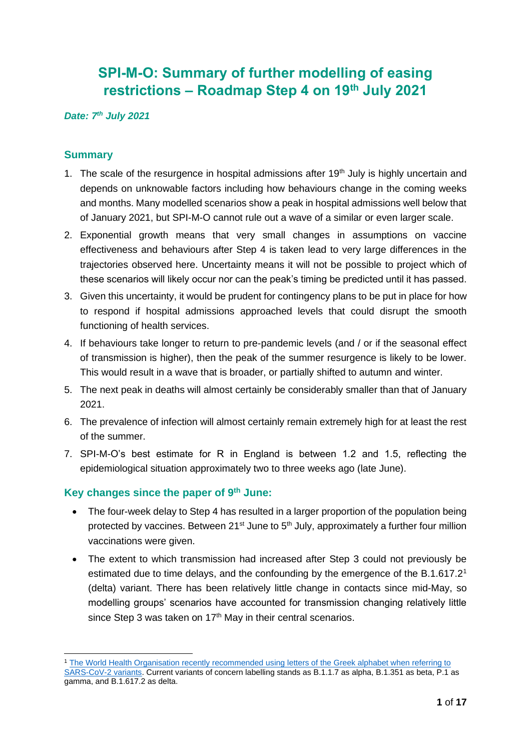# **SPI-M-O: Summary of further modelling of easing restrictions – Roadmap Step 4 on 19th July 2021**

#### *Date: 7th July 2021*

## **Summary**

- 1. The scale of the resurgence in hospital admissions after  $19<sup>th</sup>$  July is highly uncertain and depends on unknowable factors including how behaviours change in the coming weeks and months. Many modelled scenarios show a peak in hospital admissions well below that of January 2021, but SPI-M-O cannot rule out a wave of a similar or even larger scale.
- 2. Exponential growth means that very small changes in assumptions on vaccine effectiveness and behaviours after Step 4 is taken lead to very large differences in the trajectories observed here. Uncertainty means it will not be possible to project which of these scenarios will likely occur nor can the peak's timing be predicted until it has passed.
- 3. Given this uncertainty, it would be prudent for contingency plans to be put in place for how to respond if hospital admissions approached levels that could disrupt the smooth functioning of health services.
- 4. If behaviours take longer to return to pre-pandemic levels (and / or if the seasonal effect of transmission is higher), then the peak of the summer resurgence is likely to be lower. This would result in a wave that is broader, or partially shifted to autumn and winter.
- 5. The next peak in deaths will almost certainly be considerably smaller than that of January 2021.
- 6. The prevalence of infection will almost certainly remain extremely high for at least the rest of the summer.
- 7. SPI-M-O's best estimate for R in England is between 1.2 and 1.5, reflecting the epidemiological situation approximately two to three weeks ago (late June).

## **Key changes since the paper of 9th June:**

- The four-week delay to Step 4 has resulted in a larger proportion of the population being protected by vaccines. Between 21<sup>st</sup> June to 5<sup>th</sup> July, approximately a further four million vaccinations were given.
- The extent to which transmission had increased after Step 3 could not previously be estimated due to time delays, and the confounding by the emergence of the B.1.617.2<sup>1</sup> (delta) variant. There has been relatively little change in contacts since mid-May, so modelling groups' scenarios have accounted for transmission changing relatively little since Step 3 was taken on  $17<sup>th</sup>$  May in their central scenarios.

<sup>1</sup> [The World Health Organisation recently recommended using letters of the Greek alphabet when referring to](https://www.who.int/en/activities/tracking-SARS-CoV-2-variants/)  [SARS-CoV-2 variants.](https://www.who.int/en/activities/tracking-SARS-CoV-2-variants/) Current variants of concern labelling stands as B.1.1.7 as alpha, B.1.351 as beta, P.1 as gamma, and B.1.617.2 as delta.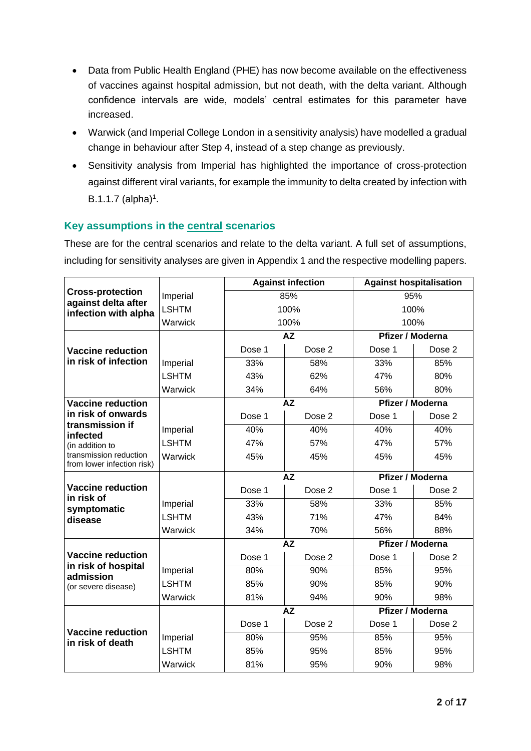- Data from Public Health England (PHE) has now become available on the effectiveness of vaccines against hospital admission, but not death, with the delta variant. Although confidence intervals are wide, models' central estimates for this parameter have increased.
- Warwick (and Imperial College London in a sensitivity analysis) have modelled a gradual change in behaviour after Step 4, instead of a step change as previously.
- Sensitivity analysis from Imperial has highlighted the importance of cross-protection against different viral variants, for example the immunity to delta created by infection with  $B.1.1.7$  (alpha)<sup>1</sup>.

## **Key assumptions in the central scenarios**

These are for the central scenarios and relate to the delta variant. A full set of assumptions, including for sensitivity analyses are given in Appendix 1 and the respective modelling papers.

|                                                      |              |           | <b>Against infection</b> | <b>Against hospitalisation</b> |        |  |
|------------------------------------------------------|--------------|-----------|--------------------------|--------------------------------|--------|--|
| <b>Cross-protection</b><br>against delta after       | Imperial     |           | 85%                      | 95%                            |        |  |
| infection with alpha                                 | <b>LSHTM</b> |           | 100%                     | 100%                           |        |  |
|                                                      | Warwick      |           | 100%                     | 100%                           |        |  |
|                                                      |              |           | <b>AZ</b>                | Pfizer / Moderna               |        |  |
| <b>Vaccine reduction</b>                             |              | Dose 1    | Dose 2                   | Dose 1                         | Dose 2 |  |
| in risk of infection                                 | Imperial     | 33%       | 58%                      | 33%                            | 85%    |  |
|                                                      | <b>LSHTM</b> | 43%       | 62%                      | 47%                            | 80%    |  |
|                                                      | Warwick      | 34%       | 64%                      | 56%                            | 80%    |  |
| <b>Vaccine reduction</b>                             |              |           | <b>AZ</b>                | Pfizer / Moderna               |        |  |
| in risk of onwards                                   |              | Dose 1    | Dose 2                   | Dose 1                         | Dose 2 |  |
| transmission if<br>infected                          | Imperial     | 40%       | 40%                      | 40%                            | 40%    |  |
| (in addition to                                      | <b>LSHTM</b> | 47%       | 57%                      | 47%                            | 57%    |  |
| transmission reduction<br>from lower infection risk) | Warwick      | 45%       | 45%                      | 45%                            | 45%    |  |
|                                                      |              |           | <b>AZ</b>                | Pfizer / Moderna               |        |  |
| <b>Vaccine reduction</b>                             |              | Dose 1    | Dose <sub>2</sub>        | Dose 1                         | Dose 2 |  |
| in risk of<br>symptomatic                            | Imperial     | 33%       | 58%                      | 33%                            | 85%    |  |
| disease                                              | <b>LSHTM</b> | 43%       | 71%                      | 47%                            | 84%    |  |
|                                                      | Warwick      | 34%       | 70%                      | 56%                            | 88%    |  |
|                                                      |              | <b>AZ</b> |                          | Pfizer / Moderna               |        |  |
| <b>Vaccine reduction</b>                             |              | Dose 1    | Dose 2                   | Dose 1                         | Dose 2 |  |
| in risk of hospital<br>admission                     | Imperial     | 80%       | 90%                      | 85%                            | 95%    |  |
| (or severe disease)                                  | <b>LSHTM</b> | 85%       | 90%                      | 85%                            | 90%    |  |
|                                                      | Warwick      | 81%       | 94%                      | 90%                            | 98%    |  |
|                                                      |              | <b>AZ</b> |                          | Pfizer / Moderna               |        |  |
| <b>Vaccine reduction</b><br>in risk of death         |              | Dose 1    | Dose 2                   | Dose 1                         | Dose 2 |  |
|                                                      | Imperial     | 80%       | 95%                      | 85%                            | 95%    |  |
|                                                      | <b>LSHTM</b> | 85%       | 95%                      | 85%                            | 95%    |  |
|                                                      | Warwick      | 81%       | 95%                      | 90%                            | 98%    |  |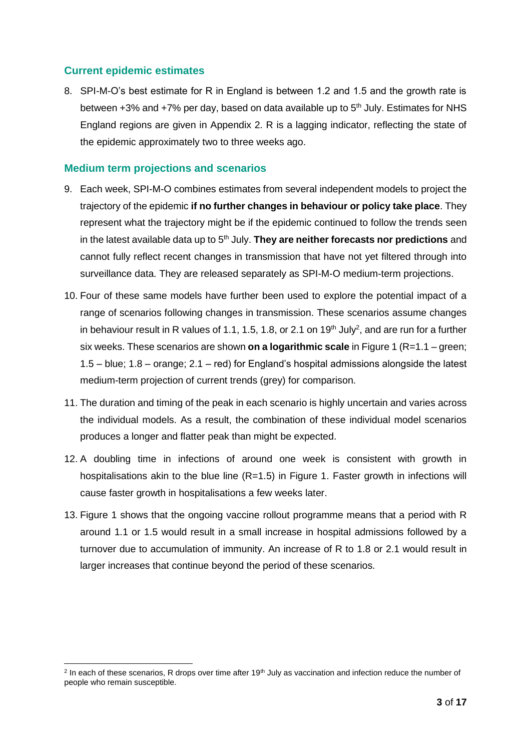## **Current epidemic estimates**

8. SPI-M-O's best estimate for R in England is between 1.2 and 1.5 and the growth rate is between  $+3\%$  and  $+7\%$  per day, based on data available up to  $5<sup>th</sup>$  July. Estimates for NHS England regions are given in Appendix 2. R is a lagging indicator, reflecting the state of the epidemic approximately two to three weeks ago.

#### **Medium term projections and scenarios**

- 9. Each week, SPI-M-O combines estimates from several independent models to project the trajectory of the epidemic **if no further changes in behaviour or policy take place**. They represent what the trajectory might be if the epidemic continued to follow the trends seen in the latest available data up to 5<sup>th</sup> July. **They are neither forecasts nor predictions** and cannot fully reflect recent changes in transmission that have not yet filtered through into surveillance data. They are released separately as SPI-M-O medium-term projections.
- 10. Four of these same models have further been used to explore the potential impact of a range of scenarios following changes in transmission. These scenarios assume changes in behaviour result in R values of 1.1, 1.5, 1.8, or 2.1 on 19<sup>th</sup> July<sup>2</sup>, and are run for a further six weeks. These scenarios are shown **on a logarithmic scale** in Figure 1 (R=1.1 – green; 1.5 – blue; 1.8 – orange; 2.1 – red) for England's hospital admissions alongside the latest medium-term projection of current trends (grey) for comparison.
- 11. The duration and timing of the peak in each scenario is highly uncertain and varies across the individual models. As a result, the combination of these individual model scenarios produces a longer and flatter peak than might be expected.
- 12. A doubling time in infections of around one week is consistent with growth in hospitalisations akin to the blue line  $(R=1.5)$  in Figure 1. Faster growth in infections will cause faster growth in hospitalisations a few weeks later.
- 13. Figure 1 shows that the ongoing vaccine rollout programme means that a period with R around 1.1 or 1.5 would result in a small increase in hospital admissions followed by a turnover due to accumulation of immunity. An increase of R to 1.8 or 2.1 would result in larger increases that continue beyond the period of these scenarios.

<sup>&</sup>lt;sup>2</sup> In each of these scenarios, R drops over time after 19<sup>th</sup> July as vaccination and infection reduce the number of people who remain susceptible.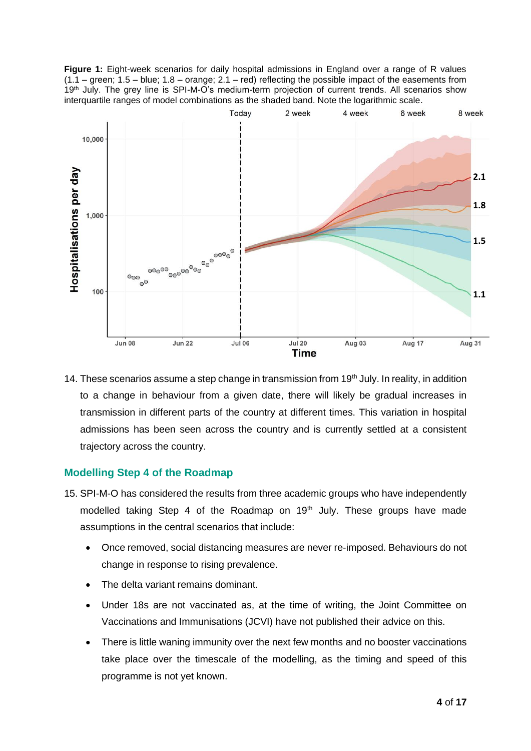**Figure 1:** Eight-week scenarios for daily hospital admissions in England over a range of R values (1.1 – green; 1.5 – blue; 1.8 – orange; 2.1 – red) reflecting the possible impact of the easements from 19<sup>th</sup> July. The grey line is SPI-M-O's medium-term projection of current trends. All scenarios show interquartile ranges of model combinations as the shaded band. Note the logarithmic scale.



14. These scenarios assume a step change in transmission from 19<sup>th</sup> July. In reality, in addition to a change in behaviour from a given date, there will likely be gradual increases in transmission in different parts of the country at different times. This variation in hospital admissions has been seen across the country and is currently settled at a consistent trajectory across the country.

## **Modelling Step 4 of the Roadmap**

- 15. SPI-M-O has considered the results from three academic groups who have independently modelled taking Step 4 of the Roadmap on  $19<sup>th</sup>$  July. These groups have made assumptions in the central scenarios that include:
	- Once removed, social distancing measures are never re-imposed. Behaviours do not change in response to rising prevalence.
	- The delta variant remains dominant.
	- Under 18s are not vaccinated as, at the time of writing, the Joint Committee on Vaccinations and Immunisations (JCVI) have not published their advice on this.
	- There is little waning immunity over the next few months and no booster vaccinations take place over the timescale of the modelling, as the timing and speed of this programme is not yet known.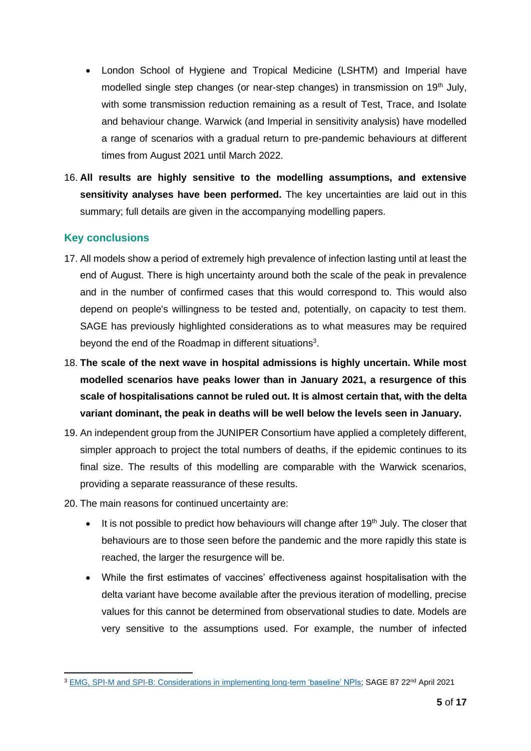- London School of Hygiene and Tropical Medicine (LSHTM) and Imperial have modelled single step changes (or near-step changes) in transmission on  $19<sup>th</sup>$  July, with some transmission reduction remaining as a result of Test, Trace, and Isolate and behaviour change. Warwick (and Imperial in sensitivity analysis) have modelled a range of scenarios with a gradual return to pre-pandemic behaviours at different times from August 2021 until March 2022.
- 16. **All results are highly sensitive to the modelling assumptions, and extensive sensitivity analyses have been performed.** The key uncertainties are laid out in this summary; full details are given in the accompanying modelling papers.

## **Key conclusions**

- 17. All models show a period of extremely high prevalence of infection lasting until at least the end of August. There is high uncertainty around both the scale of the peak in prevalence and in the number of confirmed cases that this would correspond to. This would also depend on people's willingness to be tested and, potentially, on capacity to test them. SAGE has previously highlighted considerations as to what measures may be required beyond the end of the Roadmap in different situations<sup>3</sup>.
- 18. **The scale of the next wave in hospital admissions is highly uncertain. While most modelled scenarios have peaks lower than in January 2021, a resurgence of this scale of hospitalisations cannot be ruled out. It is almost certain that, with the delta variant dominant, the peak in deaths will be well below the levels seen in January.**
- 19. An independent group from the JUNIPER Consortium have applied a completely different, simpler approach to project the total numbers of deaths, if the epidemic continues to its final size. The results of this modelling are comparable with the Warwick scenarios, providing a separate reassurance of these results.
- 20. The main reasons for continued uncertainty are:
	- $\bullet$  It is not possible to predict how behaviours will change after 19<sup>th</sup> July. The closer that behaviours are to those seen before the pandemic and the more rapidly this state is reached, the larger the resurgence will be.
	- While the first estimates of vaccines' effectiveness against hospitalisation with the delta variant have become available after the previous iteration of modelling, precise values for this cannot be determined from observational studies to date. Models are very sensitive to the assumptions used. For example, the number of infected

<sup>3</sup> [EMG, SPI-M and SPI-B: Considerations in implementing long-term 'baseline' NPIs;](https://www.gov.uk/government/publications/emg-spi-m-and-spi-b-considerations-in-implementing-long-term-baseline-npis-22-april-2021) SAGE 87 22nd April 2021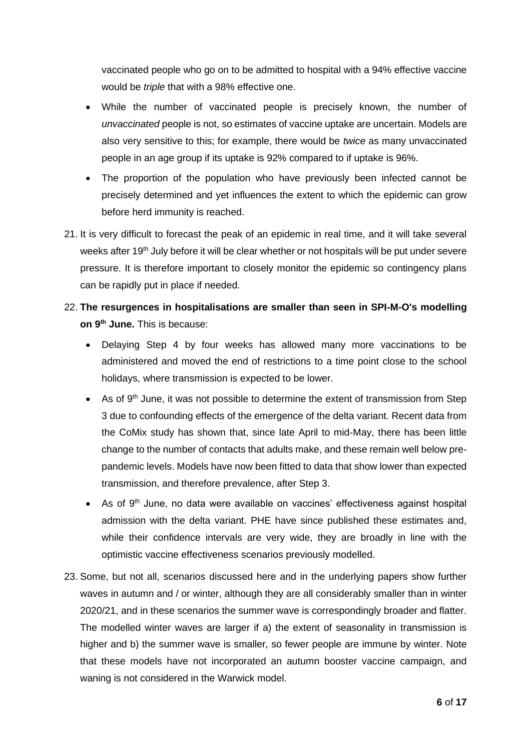vaccinated people who go on to be admitted to hospital with a 94% effective vaccine would be *triple* that with a 98% effective one.

- While the number of vaccinated people is precisely known, the number of *unvaccinated* people is not, so estimates of vaccine uptake are uncertain. Models are also very sensitive to this; for example, there would be *twice* as many unvaccinated people in an age group if its uptake is 92% compared to if uptake is 96%.
- The proportion of the population who have previously been infected cannot be precisely determined and yet influences the extent to which the epidemic can grow before herd immunity is reached.
- 21. It is very difficult to forecast the peak of an epidemic in real time, and it will take several weeks after 19<sup>th</sup> July before it will be clear whether or not hospitals will be put under severe pressure. It is therefore important to closely monitor the epidemic so contingency plans can be rapidly put in place if needed.
- 22. **The resurgences in hospitalisations are smaller than seen in SPI-M-O's modelling on 9th June.** This is because:
	- Delaying Step 4 by four weeks has allowed many more vaccinations to be administered and moved the end of restrictions to a time point close to the school holidays, where transmission is expected to be lower.
	- As of  $9<sup>th</sup>$  June, it was not possible to determine the extent of transmission from Step 3 due to confounding effects of the emergence of the delta variant. Recent data from the CoMix study has shown that, since late April to mid-May, there has been little change to the number of contacts that adults make, and these remain well below prepandemic levels. Models have now been fitted to data that show lower than expected transmission, and therefore prevalence, after Step 3.
	- As of 9<sup>th</sup> June, no data were available on vaccines' effectiveness against hospital admission with the delta variant. PHE have since published these estimates and, while their confidence intervals are very wide, they are broadly in line with the optimistic vaccine effectiveness scenarios previously modelled.
- 23. Some, but not all, scenarios discussed here and in the underlying papers show further waves in autumn and / or winter, although they are all considerably smaller than in winter 2020/21, and in these scenarios the summer wave is correspondingly broader and flatter. The modelled winter waves are larger if a) the extent of seasonality in transmission is higher and b) the summer wave is smaller, so fewer people are immune by winter. Note that these models have not incorporated an autumn booster vaccine campaign, and waning is not considered in the Warwick model.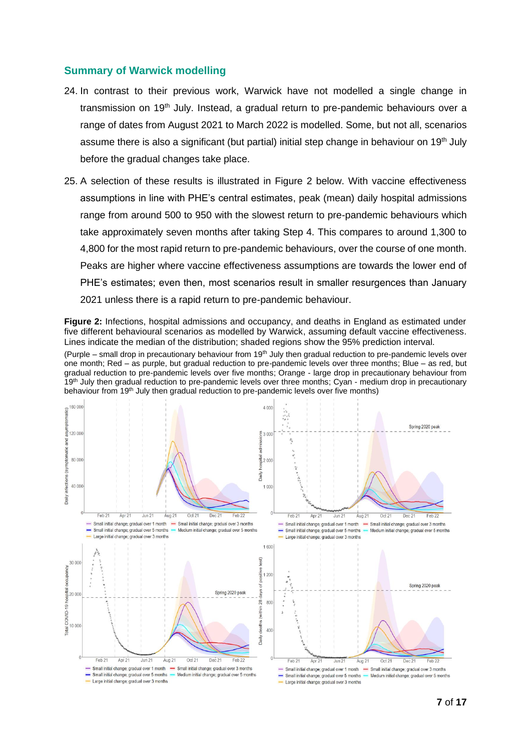#### **Summary of Warwick modelling**

- 24. In contrast to their previous work, Warwick have not modelled a single change in transmission on  $19<sup>th</sup>$  July. Instead, a gradual return to pre-pandemic behaviours over a range of dates from August 2021 to March 2022 is modelled. Some, but not all, scenarios assume there is also a significant (but partial) initial step change in behaviour on 19<sup>th</sup> July before the gradual changes take place.
- 25. A selection of these results is illustrated in Figure 2 below. With vaccine effectiveness assumptions in line with PHE's central estimates, peak (mean) daily hospital admissions range from around 500 to 950 with the slowest return to pre-pandemic behaviours which take approximately seven months after taking Step 4. This compares to around 1,300 to 4,800 for the most rapid return to pre-pandemic behaviours, over the course of one month. Peaks are higher where vaccine effectiveness assumptions are towards the lower end of PHE's estimates; even then, most scenarios result in smaller resurgences than January 2021 unless there is a rapid return to pre-pandemic behaviour.

**Figure 2:** Infections, hospital admissions and occupancy, and deaths in England as estimated under five different behavioural scenarios as modelled by Warwick, assuming default vaccine effectiveness. Lines indicate the median of the distribution; shaded regions show the 95% prediction interval.

(Purple – small drop in precautionary behaviour from  $19<sup>th</sup>$  July then gradual reduction to pre-pandemic levels over one month; Red – as purple, but gradual reduction to pre-pandemic levels over three months; Blue – as red, but gradual reduction to pre-pandemic levels over five months; Orange - large drop in precautionary behaviour from 19<sup>th</sup> July then gradual reduction to pre-pandemic levels over three months; Cyan - medium drop in precautionary behaviour from 19<sup>th</sup> July then gradual reduction to pre-pandemic levels over five months)

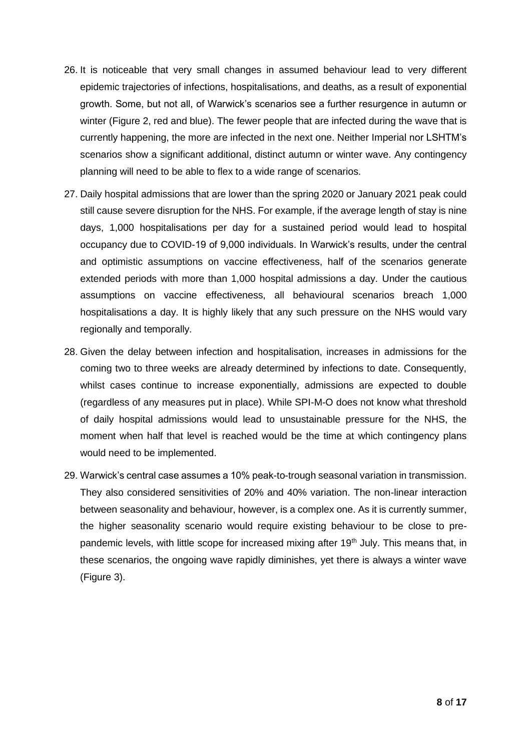- 26. It is noticeable that very small changes in assumed behaviour lead to very different epidemic trajectories of infections, hospitalisations, and deaths, as a result of exponential growth. Some, but not all, of Warwick's scenarios see a further resurgence in autumn or winter (Figure 2, red and blue). The fewer people that are infected during the wave that is currently happening, the more are infected in the next one. Neither Imperial nor LSHTM's scenarios show a significant additional, distinct autumn or winter wave. Any contingency planning will need to be able to flex to a wide range of scenarios.
- 27. Daily hospital admissions that are lower than the spring 2020 or January 2021 peak could still cause severe disruption for the NHS. For example, if the average length of stay is nine days, 1,000 hospitalisations per day for a sustained period would lead to hospital occupancy due to COVID-19 of 9,000 individuals. In Warwick's results, under the central and optimistic assumptions on vaccine effectiveness, half of the scenarios generate extended periods with more than 1,000 hospital admissions a day. Under the cautious assumptions on vaccine effectiveness, all behavioural scenarios breach 1,000 hospitalisations a day. It is highly likely that any such pressure on the NHS would vary regionally and temporally.
- 28. Given the delay between infection and hospitalisation, increases in admissions for the coming two to three weeks are already determined by infections to date. Consequently, whilst cases continue to increase exponentially, admissions are expected to double (regardless of any measures put in place). While SPI-M-O does not know what threshold of daily hospital admissions would lead to unsustainable pressure for the NHS, the moment when half that level is reached would be the time at which contingency plans would need to be implemented.
- 29. Warwick's central case assumes a 10% peak-to-trough seasonal variation in transmission. They also considered sensitivities of 20% and 40% variation. The non-linear interaction between seasonality and behaviour, however, is a complex one. As it is currently summer, the higher seasonality scenario would require existing behaviour to be close to prepandemic levels, with little scope for increased mixing after  $19<sup>th</sup>$  July. This means that, in these scenarios, the ongoing wave rapidly diminishes, yet there is always a winter wave (Figure 3).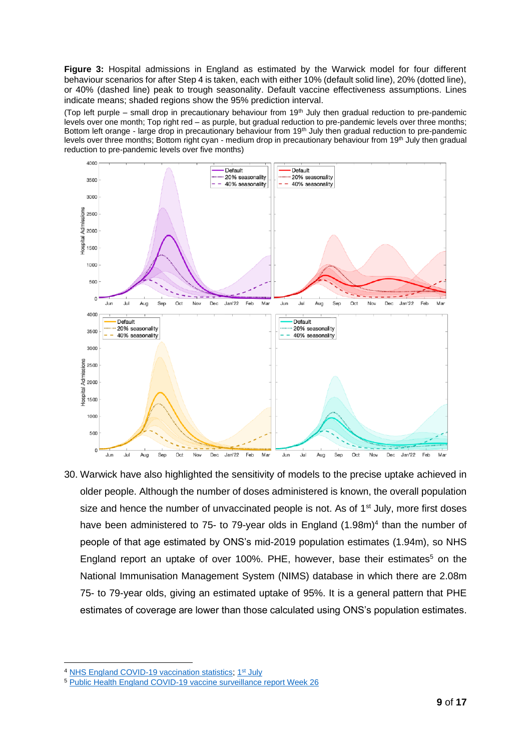**Figure 3:** Hospital admissions in England as estimated by the Warwick model for four different behaviour scenarios for after Step 4 is taken, each with either 10% (default solid line), 20% (dotted line), or 40% (dashed line) peak to trough seasonality. Default vaccine effectiveness assumptions. Lines indicate means; shaded regions show the 95% prediction interval.

(Top left purple – small drop in precautionary behaviour from 19th July then gradual reduction to pre-pandemic levels over one month; Top right red – as purple, but gradual reduction to pre-pandemic levels over three months; Bottom left orange - large drop in precautionary behaviour from 19<sup>th</sup> July then gradual reduction to pre-pandemic levels over three months; Bottom right cyan - medium drop in precautionary behaviour from 19<sup>th</sup> July then gradual reduction to pre-pandemic levels over five months)



30. Warwick have also highlighted the sensitivity of models to the precise uptake achieved in older people. Although the number of doses administered is known, the overall population size and hence the number of unvaccinated people is not. As of  $1<sup>st</sup>$  July, more first doses have been administered to 75- to 79-year olds in England (1.98m)<sup>4</sup> than the number of people of that age estimated by ONS's mid-2019 population estimates (1.94m), so NHS England report an uptake of over 100%. PHE, however, base their estimates<sup>5</sup> on the National Immunisation Management System (NIMS) database in which there are 2.08m 75- to 79-year olds, giving an estimated uptake of 95%. It is a general pattern that PHE estimates of coverage are lower than those calculated using ONS's population estimates.

<sup>&</sup>lt;sup>4</sup> [NHS England COVID-19 vaccination statistics;](https://www.england.nhs.uk/statistics/statistical-work-areas/covid-19-vaccinations/) 1<sup>st</sup> [July](https://www.england.nhs.uk/statistics/wp-content/uploads/sites/2/2021/07/COVID-19-weekly-announced-vaccinations-01-July-2021-revised.xlsx)

<sup>5</sup> [Public Health England COVID-19 vaccine surveillance report Week 26](https://assets.publishing.service.gov.uk/government/uploads/system/uploads/attachment_data/file/998411/Vaccine_surveillance_report_-_week_26.pdf)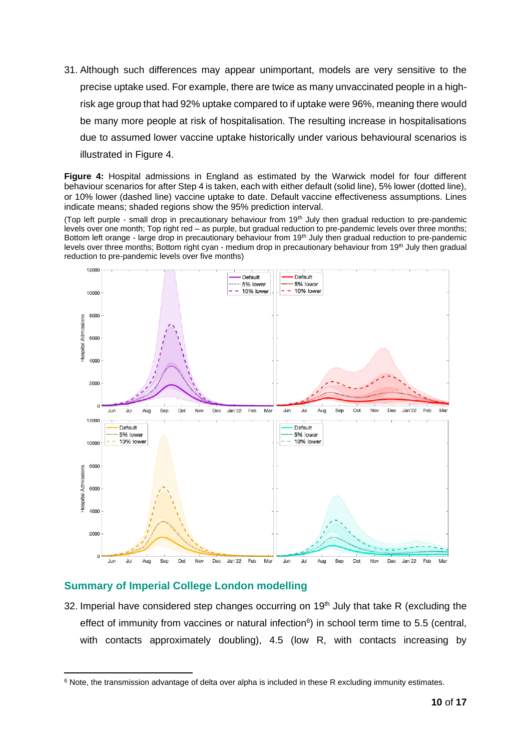31. Although such differences may appear unimportant, models are very sensitive to the precise uptake used. For example, there are twice as many unvaccinated people in a highrisk age group that had 92% uptake compared to if uptake were 96%, meaning there would be many more people at risk of hospitalisation. The resulting increase in hospitalisations due to assumed lower vaccine uptake historically under various behavioural scenarios is illustrated in Figure 4.

**Figure 4:** Hospital admissions in England as estimated by the Warwick model for four different behaviour scenarios for after Step 4 is taken, each with either default (solid line), 5% lower (dotted line), or 10% lower (dashed line) vaccine uptake to date. Default vaccine effectiveness assumptions. Lines indicate means; shaded regions show the 95% prediction interval.

(Top left purple - small drop in precautionary behaviour from 19<sup>th</sup> July then gradual reduction to pre-pandemic levels over one month; Top right red – as purple, but gradual reduction to pre-pandemic levels over three months; Bottom left orange - large drop in precautionary behaviour from 19<sup>th</sup> July then gradual reduction to pre-pandemic levels over three months; Bottom right cyan - medium drop in precautionary behaviour from 19<sup>th</sup> July then gradual reduction to pre-pandemic levels over five months)



## **Summary of Imperial College London modelling**

32. Imperial have considered step changes occurring on  $19<sup>th</sup>$  July that take R (excluding the effect of immunity from vaccines or natural infection $6$ ) in school term time to 5.5 (central, with contacts approximately doubling), 4.5 (low R, with contacts increasing by

<sup>&</sup>lt;sup>6</sup> Note, the transmission advantage of delta over alpha is included in these R excluding immunity estimates.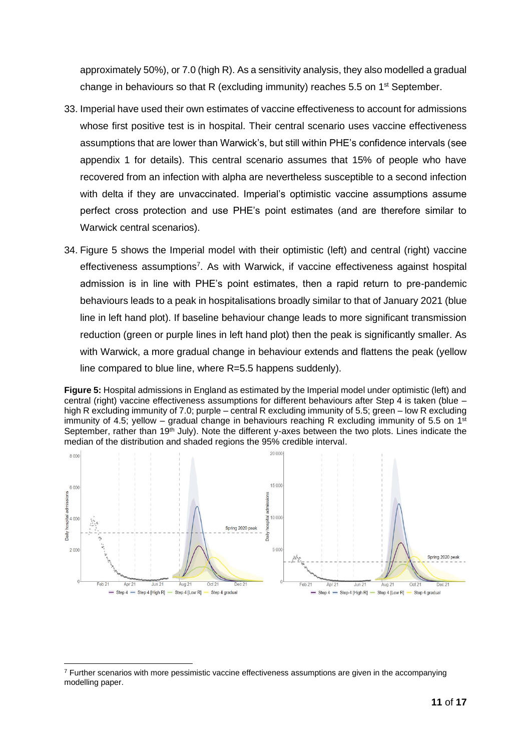approximately 50%), or 7.0 (high R). As a sensitivity analysis, they also modelled a gradual change in behaviours so that R (excluding immunity) reaches 5.5 on 1<sup>st</sup> September.

- 33. Imperial have used their own estimates of vaccine effectiveness to account for admissions whose first positive test is in hospital. Their central scenario uses vaccine effectiveness assumptions that are lower than Warwick's, but still within PHE's confidence intervals (see appendix 1 for details). This central scenario assumes that 15% of people who have recovered from an infection with alpha are nevertheless susceptible to a second infection with delta if they are unvaccinated. Imperial's optimistic vaccine assumptions assume perfect cross protection and use PHE's point estimates (and are therefore similar to Warwick central scenarios).
- 34. Figure 5 shows the Imperial model with their optimistic (left) and central (right) vaccine effectiveness assumptions<sup>7</sup>. As with Warwick, if vaccine effectiveness against hospital admission is in line with PHE's point estimates, then a rapid return to pre-pandemic behaviours leads to a peak in hospitalisations broadly similar to that of January 2021 (blue line in left hand plot). If baseline behaviour change leads to more significant transmission reduction (green or purple lines in left hand plot) then the peak is significantly smaller. As with Warwick, a more gradual change in behaviour extends and flattens the peak (yellow line compared to blue line, where R=5.5 happens suddenly).

**Figure 5:** Hospital admissions in England as estimated by the Imperial model under optimistic (left) and central (right) vaccine effectiveness assumptions for different behaviours after Step 4 is taken (blue – high R excluding immunity of 7.0; purple – central R excluding immunity of 5.5; green – low R excluding immunity of 4.5; yellow – gradual change in behaviours reaching R excluding immunity of 5.5 on  $1<sup>st</sup>$ September, rather than 19<sup>th</sup> July). Note the different y-axes between the two plots. Lines indicate the median of the distribution and shaded regions the 95% credible interval.



<sup>7</sup> Further scenarios with more pessimistic vaccine effectiveness assumptions are given in the accompanying modelling paper.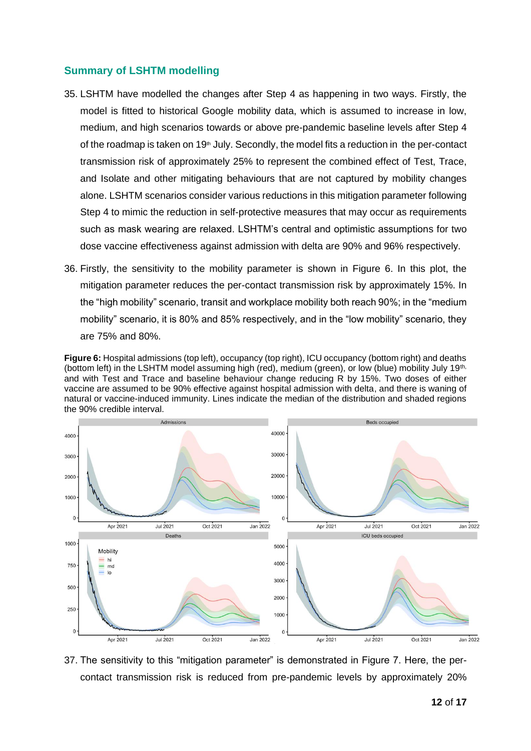#### **Summary of LSHTM modelling**

- 35. LSHTM have modelled the changes after Step 4 as happening in two ways. Firstly, the model is fitted to historical Google mobility data, which is assumed to increase in low, medium, and high scenarios towards or above pre-pandemic baseline levels after Step 4 of the roadmap is taken on 19<sup>th</sup> July. Secondly, the model fits a reduction in the per-contact transmission risk of approximately 25% to represent the combined effect of Test, Trace, and Isolate and other mitigating behaviours that are not captured by mobility changes alone. LSHTM scenarios consider various reductions in this mitigation parameter following Step 4 to mimic the reduction in self-protective measures that may occur as requirements such as mask wearing are relaxed. LSHTM's central and optimistic assumptions for two dose vaccine effectiveness against admission with delta are 90% and 96% respectively.
- 36. Firstly, the sensitivity to the mobility parameter is shown in Figure 6. In this plot, the mitigation parameter reduces the per-contact transmission risk by approximately 15%. In the "high mobility" scenario, transit and workplace mobility both reach 90%; in the "medium mobility" scenario, it is 80% and 85% respectively, and in the "low mobility" scenario, they are 75% and 80%.

**Figure 6:** Hospital admissions (top left), occupancy (top right), ICU occupancy (bottom right) and deaths (bottom left) in the LSHTM model assuming high (red), medium (green), or low (blue) mobility July 19th, and with Test and Trace and baseline behaviour change reducing R by 15%. Two doses of either vaccine are assumed to be 90% effective against hospital admission with delta, and there is waning of natural or vaccine-induced immunity. Lines indicate the median of the distribution and shaded regions the 90% credible interval.



37. The sensitivity to this "mitigation parameter" is demonstrated in Figure 7. Here, the percontact transmission risk is reduced from pre-pandemic levels by approximately 20%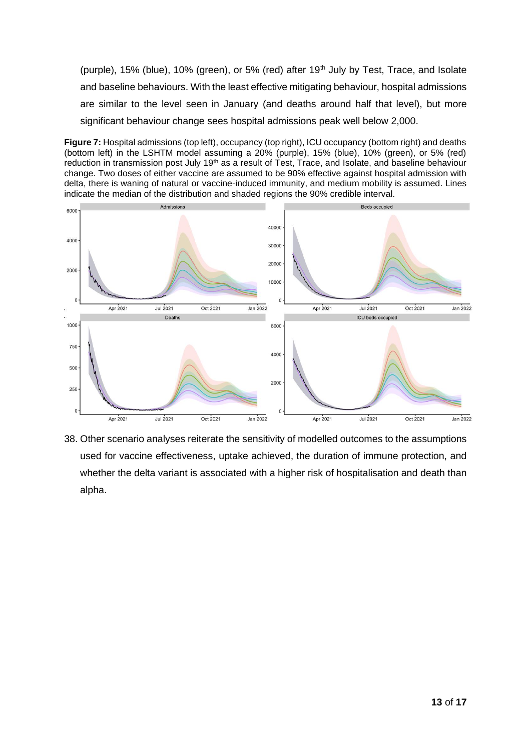(purple), 15% (blue), 10% (green), or 5% (red) after 19<sup>th</sup> July by Test, Trace, and Isolate and baseline behaviours. With the least effective mitigating behaviour, hospital admissions are similar to the level seen in January (and deaths around half that level), but more significant behaviour change sees hospital admissions peak well below 2,000.

**Figure 7:** Hospital admissions (top left), occupancy (top right), ICU occupancy (bottom right) and deaths (bottom left) in the LSHTM model assuming a 20% (purple), 15% (blue), 10% (green), or 5% (red) reduction in transmission post July 19<sup>th</sup> as a result of Test, Trace, and Isolate, and baseline behaviour change. Two doses of either vaccine are assumed to be 90% effective against hospital admission with delta, there is waning of natural or vaccine-induced immunity, and medium mobility is assumed. Lines indicate the median of the distribution and shaded regions the 90% credible interval.



38. Other scenario analyses reiterate the sensitivity of modelled outcomes to the assumptions used for vaccine effectiveness, uptake achieved, the duration of immune protection, and whether the delta variant is associated with a higher risk of hospitalisation and death than alpha.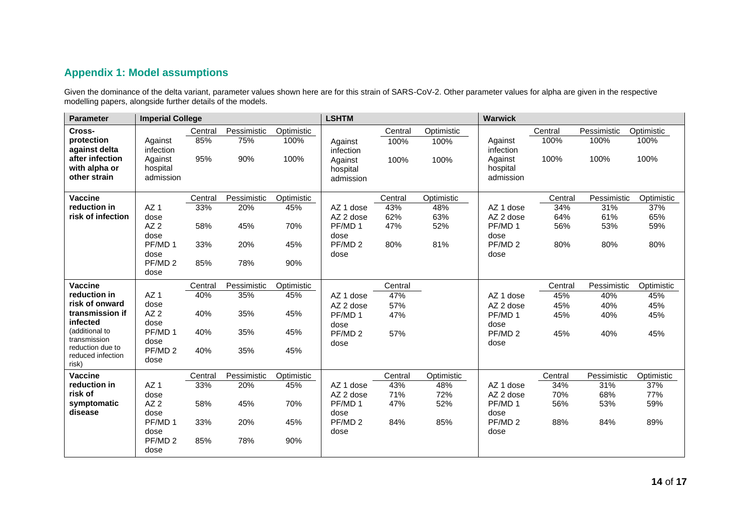# **Appendix 1: Model assumptions**

Given the dominance of the delta variant, parameter values shown here are for this strain of SARS-CoV-2. Other parameter values for alpha are given in the respective modelling papers, alongside further details of the models.

| <b>Parameter</b>              | <b>Imperial College</b> |         |             | <b>LSHTM</b> |                            |         | <b>Warwick</b> |                            |         |             |            |
|-------------------------------|-------------------------|---------|-------------|--------------|----------------------------|---------|----------------|----------------------------|---------|-------------|------------|
| Cross-                        |                         | Central | Pessimistic | Optimistic   |                            | Central | Optimistic     |                            | Central | Pessimistic | Optimistic |
| protection                    | Against                 | 85%     | 75%         | 100%         | Against                    | 100%    | 100%           | Against                    | 100%    | 100%        | 100%       |
| against delta                 | infection               |         |             |              | infection                  |         |                | infection                  |         |             |            |
| after infection               | Against                 | 95%     | 90%         | 100%         | Against                    | 100%    | 100%           | Against                    | 100%    | 100%        | 100%       |
| with alpha or<br>other strain | hospital<br>admission   |         |             |              | hospital<br>admission      |         |                | hospital<br>admission      |         |             |            |
|                               |                         |         |             |              |                            |         |                |                            |         |             |            |
| <b>Vaccine</b>                |                         | Central | Pessimistic | Optimistic   |                            | Central | Optimistic     |                            | Central | Pessimistic | Optimistic |
| reduction in                  | AZ <sub>1</sub>         | 33%     | 20%         | 45%          | AZ 1 dose                  | 43%     | 48%            | AZ 1 dose                  | 34%     | 31%         | 37%        |
| risk of infection             | dose                    |         |             |              | AZ 2 dose                  | 62%     | 63%            | AZ 2 dose                  | 64%     | 61%         | 65%        |
|                               | AZ2                     | 58%     | 45%         | 70%          | PF/MD 1                    | 47%     | 52%            | PF/MD 1                    | 56%     | 53%         | 59%        |
|                               | dose                    |         |             |              | dose                       |         |                | dose                       |         |             |            |
|                               | PF/MD 1<br>dose         | 33%     | 20%         | 45%          | PF/MD <sub>2</sub><br>dose | 80%     | 81%            | PF/MD <sub>2</sub><br>dose | 80%     | 80%         | 80%        |
|                               | PF/MD <sub>2</sub>      | 85%     | 78%         | 90%          |                            |         |                |                            |         |             |            |
|                               | dose                    |         |             |              |                            |         |                |                            |         |             |            |
| <b>Vaccine</b>                |                         | Central | Pessimistic | Optimistic   |                            | Central |                |                            | Central | Pessimistic | Optimistic |
| reduction in                  | AZ <sub>1</sub>         | 40%     | 35%         | 45%          | AZ 1 dose                  | 47%     |                | AZ 1 dose                  | 45%     | 40%         | 45%        |
| risk of onward                | dose                    |         |             |              | AZ 2 dose                  | 57%     |                | AZ 2 dose                  | 45%     | 40%         | 45%        |
| transmission if               | AZ2                     | 40%     | 35%         | 45%          | PF/MD 1                    | 47%     |                | PF/MD 1                    | 45%     | 40%         | 45%        |
| infected<br>(additional to    | dose                    |         |             |              | dose                       |         |                | dose                       |         |             |            |
| transmission                  | PF/MD 1<br>dose         | 40%     | 35%         | 45%          | PF/MD <sub>2</sub>         | 57%     |                | PF/MD <sub>2</sub>         | 45%     | 40%         | 45%        |
| reduction due to              | PF/MD <sub>2</sub>      | 40%     | 35%         | 45%          | dose                       |         |                | dose                       |         |             |            |
| reduced infection<br>risk)    | dose                    |         |             |              |                            |         |                |                            |         |             |            |
| Vaccine                       |                         | Central | Pessimistic | Optimistic   |                            | Central | Optimistic     |                            | Central | Pessimistic | Optimistic |
| reduction in                  | AZ <sub>1</sub>         | 33%     | 20%         | 45%          | AZ 1 dose                  | 43%     | 48%            | AZ 1 dose                  | 34%     | 31%         | 37%        |
| risk of                       | dose                    |         |             |              | AZ 2 dose                  | 71%     | 72%            | AZ 2 dose                  | 70%     | 68%         | 77%        |
| symptomatic                   | AZ2                     | 58%     | 45%         | 70%          | PF/MD 1                    | 47%     | 52%            | PF/MD 1                    | 56%     | 53%         | 59%        |
| disease                       | dose                    |         |             |              | dose                       |         |                | dose                       |         |             |            |
|                               | PF/MD 1                 | 33%     | 20%         | 45%          | PF/MD <sub>2</sub>         | 84%     | 85%            | PF/MD <sub>2</sub>         | 88%     | 84%         | 89%        |
|                               | dose                    |         |             |              | dose                       |         |                | dose                       |         |             |            |
|                               | PF/MD <sub>2</sub>      | 85%     | 78%         | 90%          |                            |         |                |                            |         |             |            |
|                               | dose                    |         |             |              |                            |         |                |                            |         |             |            |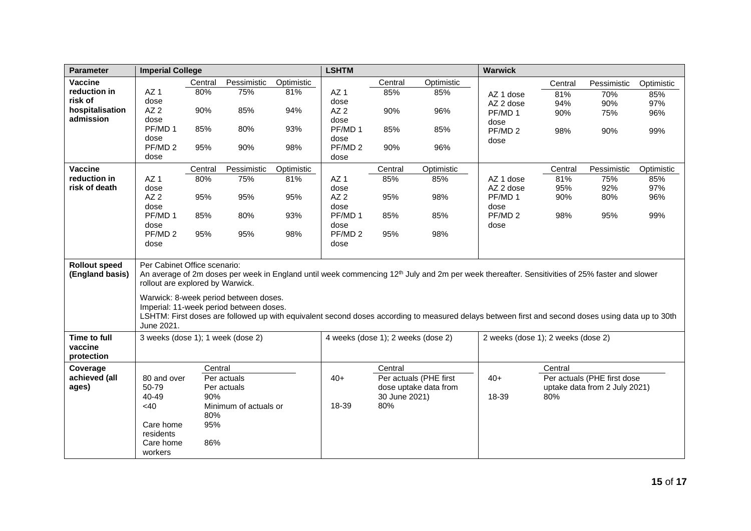| <b>Parameter</b>                        | <b>Imperial College</b>                                                                                                                                                                                                                             |         |                       | <b>LSHTM</b>                       |                    |                      | <b>Warwick</b>                     |                            |         |                               |            |
|-----------------------------------------|-----------------------------------------------------------------------------------------------------------------------------------------------------------------------------------------------------------------------------------------------------|---------|-----------------------|------------------------------------|--------------------|----------------------|------------------------------------|----------------------------|---------|-------------------------------|------------|
| Vaccine                                 |                                                                                                                                                                                                                                                     | Central | Pessimistic           | Optimistic                         |                    | Central              | Optimistic                         |                            | Central | Pessimistic                   | Optimistic |
| reduction in                            | AZ <sub>1</sub>                                                                                                                                                                                                                                     | 80%     | 75%                   | 81%                                | AZ <sub>1</sub>    | 85%                  | 85%                                | AZ 1 dose                  | 81%     | 70%                           | 85%        |
| risk of                                 | dose                                                                                                                                                                                                                                                |         |                       |                                    | dose               |                      |                                    | AZ 2 dose                  | 94%     | 90%                           | 97%        |
| hospitalisation                         | AZ2                                                                                                                                                                                                                                                 | 90%     | 85%                   | 94%                                | AZ <sub>2</sub>    | 90%                  | 96%                                | PF/MD 1                    | 90%     | 75%                           | 96%        |
| admission                               | dose<br>PF/MD 1                                                                                                                                                                                                                                     | 85%     | 80%                   | 93%                                | dose<br>PF/MD 1    |                      | 85%                                | dose                       |         |                               |            |
|                                         | dose                                                                                                                                                                                                                                                |         |                       |                                    | dose               | 85%                  |                                    | PF/MD <sub>2</sub>         | 98%     | 90%                           | 99%        |
|                                         | PF/MD <sub>2</sub>                                                                                                                                                                                                                                  | 95%     | 90%                   | 98%                                | PF/MD <sub>2</sub> | 90%                  | 96%                                | dose                       |         |                               |            |
|                                         | dose                                                                                                                                                                                                                                                |         |                       |                                    | dose               |                      |                                    |                            |         |                               |            |
| Vaccine                                 |                                                                                                                                                                                                                                                     | Central | Pessimistic           | Optimistic                         |                    | Central              | Optimistic                         |                            | Central | Pessimistic                   | Optimistic |
| reduction in                            | AZ <sub>1</sub>                                                                                                                                                                                                                                     | 80%     | 75%                   | 81%                                | AZ <sub>1</sub>    | 85%                  | 85%                                | AZ 1 dose                  | 81%     | 75%                           | 85%        |
| risk of death                           | dose                                                                                                                                                                                                                                                |         |                       |                                    | dose               |                      |                                    | AZ 2 dose                  | 95%     | 92%                           | 97%        |
|                                         | AZ2                                                                                                                                                                                                                                                 | 95%     | 95%                   | 95%                                | AZ2                | 95%                  | 98%                                | PF/MD 1                    | 90%     | 80%                           | 96%        |
|                                         | dose<br>PF/MD 1                                                                                                                                                                                                                                     | 85%     | 80%                   | 93%                                | dose<br>PF/MD 1    | 85%                  | 85%                                | dose<br>PF/MD <sub>2</sub> | 98%     | 95%                           | 99%        |
|                                         | dose                                                                                                                                                                                                                                                |         |                       |                                    | dose               |                      |                                    | dose                       |         |                               |            |
|                                         | PF/MD <sub>2</sub>                                                                                                                                                                                                                                  | 95%     | 95%                   | 98%                                | PF/MD <sub>2</sub> | 95%                  | 98%                                |                            |         |                               |            |
|                                         | dose                                                                                                                                                                                                                                                |         |                       |                                    | dose               |                      |                                    |                            |         |                               |            |
|                                         |                                                                                                                                                                                                                                                     |         |                       |                                    |                    |                      |                                    |                            |         |                               |            |
| <b>Rollout speed</b><br>(England basis) | Per Cabinet Office scenario:<br>An average of 2m doses per week in England until week commencing 12 <sup>th</sup> July and 2m per week thereafter. Sensitivities of 25% faster and slower<br>rollout are explored by Warwick.                       |         |                       |                                    |                    |                      |                                    |                            |         |                               |            |
|                                         | Warwick: 8-week period between doses.<br>Imperial: 11-week period between doses.<br>LSHTM: First doses are followed up with equivalent second doses according to measured delays between first and second doses using data up to 30th<br>June 2021. |         |                       |                                    |                    |                      |                                    |                            |         |                               |            |
| <b>Time to full</b>                     | 3 weeks (dose 1); 1 week (dose 2)                                                                                                                                                                                                                   |         |                       | 4 weeks (dose 1); 2 weeks (dose 2) |                    |                      | 2 weeks (dose 1); 2 weeks (dose 2) |                            |         |                               |            |
| vaccine<br>protection                   |                                                                                                                                                                                                                                                     |         |                       |                                    |                    |                      |                                    |                            |         |                               |            |
| Coverage                                |                                                                                                                                                                                                                                                     | Central |                       |                                    |                    | Central              |                                    |                            | Central |                               |            |
| achieved (all                           | 80 and over                                                                                                                                                                                                                                         |         | Per actuals           |                                    | $40+$              |                      | Per actuals (PHE first             | $40+$                      |         | Per actuals (PHE first dose   |            |
| ages)                                   | 50-79                                                                                                                                                                                                                                               |         | Per actuals           |                                    |                    |                      | dose uptake data from              |                            |         | uptake data from 2 July 2021) |            |
|                                         | 40-49<br><40                                                                                                                                                                                                                                        | 90%     | Minimum of actuals or |                                    | 18-39              | 30 June 2021)<br>80% |                                    | 18-39                      | 80%     |                               |            |
|                                         |                                                                                                                                                                                                                                                     | 80%     |                       |                                    |                    |                      |                                    |                            |         |                               |            |
|                                         | Care home                                                                                                                                                                                                                                           | 95%     |                       |                                    |                    |                      |                                    |                            |         |                               |            |
|                                         | residents                                                                                                                                                                                                                                           |         |                       |                                    |                    |                      |                                    |                            |         |                               |            |
|                                         | Care home                                                                                                                                                                                                                                           | 86%     |                       |                                    |                    |                      |                                    |                            |         |                               |            |
|                                         | workers                                                                                                                                                                                                                                             |         |                       |                                    |                    |                      |                                    |                            |         |                               |            |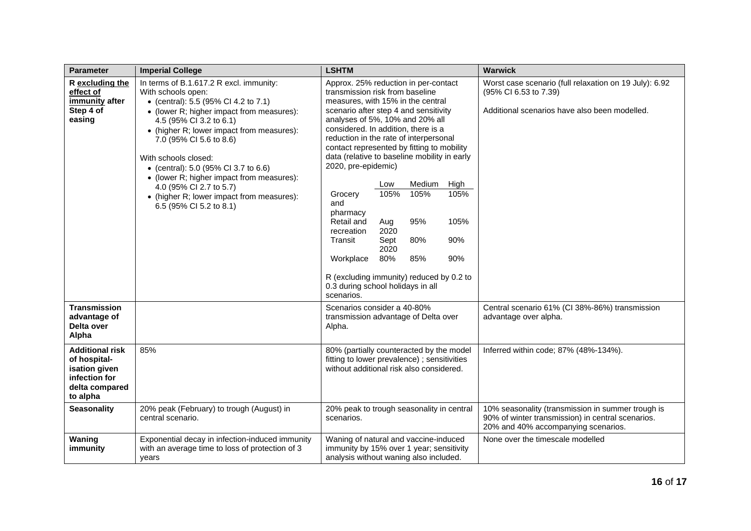| <b>Parameter</b>                                                                                       | <b>Imperial College</b>                                                                                                                                                                                                                                                                                                                                                                                                                                               | <b>LSHTM</b>                                                                                                                                                                                                                                                                                                                                                                                                                                                                                                                                                                                                                                                                                                      | <b>Warwick</b>                                                                                                                                |
|--------------------------------------------------------------------------------------------------------|-----------------------------------------------------------------------------------------------------------------------------------------------------------------------------------------------------------------------------------------------------------------------------------------------------------------------------------------------------------------------------------------------------------------------------------------------------------------------|-------------------------------------------------------------------------------------------------------------------------------------------------------------------------------------------------------------------------------------------------------------------------------------------------------------------------------------------------------------------------------------------------------------------------------------------------------------------------------------------------------------------------------------------------------------------------------------------------------------------------------------------------------------------------------------------------------------------|-----------------------------------------------------------------------------------------------------------------------------------------------|
| R excluding the<br>effect of<br>immunity after<br>Step 4 of<br>easing                                  | In terms of B.1.617.2 R excl. immunity:<br>With schools open:<br>• (central): 5.5 (95% Cl 4.2 to 7.1)<br>• (lower R; higher impact from measures):<br>4.5 (95% CI 3.2 to 6.1)<br>• (higher R; lower impact from measures):<br>7.0 (95% CI 5.6 to 8.6)<br>With schools closed:<br>• (central): 5.0 (95% CI 3.7 to 6.6)<br>• (lower R; higher impact from measures):<br>4.0 (95% CI 2.7 to 5.7)<br>• (higher R; lower impact from measures):<br>6.5 (95% CI 5.2 to 8.1) | Approx. 25% reduction in per-contact<br>transmission risk from baseline<br>measures, with 15% in the central<br>scenario after step 4 and sensitivity<br>analyses of 5%, 10% and 20% all<br>considered. In addition, there is a<br>reduction in the rate of interpersonal<br>contact represented by fitting to mobility<br>data (relative to baseline mobility in early<br>2020, pre-epidemic)<br>Medium<br>High<br>Low<br>105%<br>105%<br>105%<br>Grocery<br>and<br>pharmacy<br>Retail and<br>95%<br>105%<br>Aug<br>2020<br>recreation<br>Transit<br>80%<br>90%<br>Sept<br>2020<br>80%<br>Workplace<br>85%<br>90%<br>R (excluding immunity) reduced by 0.2 to<br>0.3 during school holidays in all<br>scenarios. | Worst case scenario (full relaxation on 19 July): 6.92<br>(95% CI 6.53 to 7.39)<br>Additional scenarios have also been modelled.              |
| <b>Transmission</b><br>advantage of<br>Delta over<br>Alpha                                             |                                                                                                                                                                                                                                                                                                                                                                                                                                                                       | Scenarios consider a 40-80%<br>transmission advantage of Delta over<br>Alpha.                                                                                                                                                                                                                                                                                                                                                                                                                                                                                                                                                                                                                                     | Central scenario 61% (CI 38%-86%) transmission<br>advantage over alpha.                                                                       |
| <b>Additional risk</b><br>of hospital-<br>isation given<br>infection for<br>delta compared<br>to alpha | 85%                                                                                                                                                                                                                                                                                                                                                                                                                                                                   | 80% (partially counteracted by the model<br>fitting to lower prevalence); sensitivities<br>without additional risk also considered.                                                                                                                                                                                                                                                                                                                                                                                                                                                                                                                                                                               | Inferred within code; 87% (48%-134%).                                                                                                         |
| <b>Seasonality</b>                                                                                     | 20% peak (February) to trough (August) in<br>central scenario.                                                                                                                                                                                                                                                                                                                                                                                                        | 20% peak to trough seasonality in central<br>scenarios.                                                                                                                                                                                                                                                                                                                                                                                                                                                                                                                                                                                                                                                           | 10% seasonality (transmission in summer trough is<br>90% of winter transmission) in central scenarios.<br>20% and 40% accompanying scenarios. |
| Waning<br>immunity                                                                                     | Exponential decay in infection-induced immunity<br>with an average time to loss of protection of 3<br>years                                                                                                                                                                                                                                                                                                                                                           | Waning of natural and vaccine-induced<br>immunity by 15% over 1 year; sensitivity<br>analysis without waning also included.                                                                                                                                                                                                                                                                                                                                                                                                                                                                                                                                                                                       | None over the timescale modelled                                                                                                              |